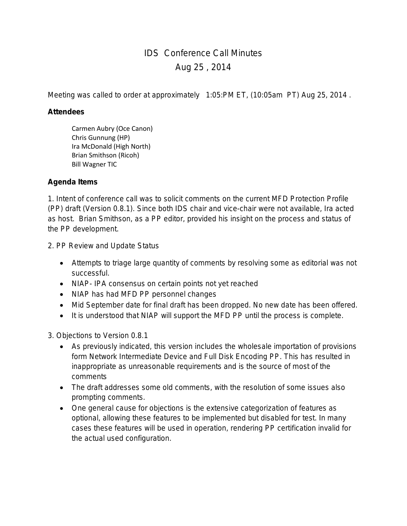## IDS Conference Call Minutes Aug 25 , 2014

Meeting was called to order at approximately 1:05:PM ET, (10:05am PT) Aug 25, 2014 .

## **Attendees**

Carmen Aubry (Oce Canon) Chris Gunnung (HP) Ira McDonald (High North) Brian Smithson (Ricoh) Bill Wagner TIC

## **Agenda Items**

1. Intent of conference call was to solicit comments on the current MFD Protection Profile (PP) draft (Version 0.8.1). Since both IDS chair and vice-chair were not available, Ira acted as host. Brian Smithson, as a PP editor, provided his insight on the process and status of the PP development.

2. PP Review and Update Status

- Attempts to triage large quantity of comments by resolving some as editorial was not successful.
- NIAP- IPA consensus on certain points not yet reached
- NIAP has had MFD PP personnel changes
- Mid September date for final draft has been dropped. No new date has been offered.
- It is understood that NIAP will support the MFD PP until the process is complete.

3. Objections to Version 0.8.1

- As previously indicated, this version includes the wholesale importation of provisions form Network Intermediate Device and Full Disk Encoding PP. This has resulted in inappropriate as unreasonable requirements and is the source of most of the comments
- The draft addresses some old comments, with the resolution of some issues also prompting comments.
- One general cause for objections is the extensive categorization of features as optional, allowing these features to be implemented but disabled for test. In many cases these features will be used in operation, rendering PP certification invalid for the actual used configuration.